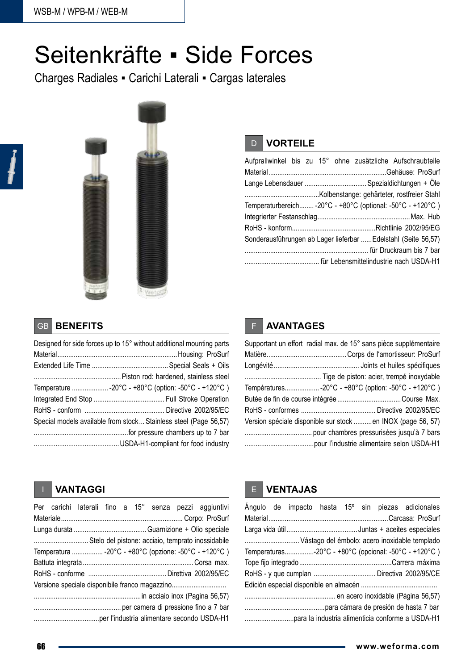# Seitenkräfte ▪ Side Forces

Charges Radiales ▪ Carichi Laterali ▪ Cargas laterales



# D **VORTEILE**

|  |  |  | Aufprallwinkel bis zu 15° ohne zusätzliche Aufschraubteile     |
|--|--|--|----------------------------------------------------------------|
|  |  |  |                                                                |
|  |  |  | Lange Lebensdauer  Spezialdichtungen + Öle                     |
|  |  |  |                                                                |
|  |  |  | Temperaturbereich -20°C - +80°C (optional: -50°C - +120°C)     |
|  |  |  |                                                                |
|  |  |  |                                                                |
|  |  |  | Sonderausführungen ab Lager lieferbar  Edelstahl (Seite 56,57) |
|  |  |  |                                                                |
|  |  |  |                                                                |

# GB **BENEFITS**

| Designed for side forces up to 15° without additional mounting parts |
|----------------------------------------------------------------------|
|                                                                      |
|                                                                      |
|                                                                      |
| Temperature -20°C - +80°C (option: -50°C - +120°C )                  |
|                                                                      |
|                                                                      |
| Special models available from stock Stainless steel (Page 56,57)     |
|                                                                      |
|                                                                      |

# F **AVANTAGES**

| Supportant un effort radial max. de 15° sans pièce supplémentaire |
|-------------------------------------------------------------------|
|                                                                   |
|                                                                   |
|                                                                   |
| Températures-20°C - +80°C (option: -50°C - +120°C)                |
|                                                                   |
|                                                                   |
| Version spéciale disponible sur stock en INOX (page 56, 57)       |
|                                                                   |
|                                                                   |

## I **VANTAGGI**

|  |  |  |  |  |  |  | Per carichi laterali fino a 15° senza pezzi aggiuntivi |
|--|--|--|--|--|--|--|--------------------------------------------------------|
|  |  |  |  |  |  |  |                                                        |
|  |  |  |  |  |  |  |                                                        |
|  |  |  |  |  |  |  | Stelo del pistone: acciaio, temprato inossidabile      |
|  |  |  |  |  |  |  | Temperatura  -20°C - +80°C (opzione: -50°C - +120°C)   |
|  |  |  |  |  |  |  |                                                        |
|  |  |  |  |  |  |  |                                                        |
|  |  |  |  |  |  |  | Versione speciale disponibile franco magazzino         |
|  |  |  |  |  |  |  |                                                        |
|  |  |  |  |  |  |  |                                                        |
|  |  |  |  |  |  |  |                                                        |

## E **VENTAJAS**

|  |  |  | Ángulo de impacto hasta 15° sin piezas adicionales   |
|--|--|--|------------------------------------------------------|
|  |  |  |                                                      |
|  |  |  | Vástago del émbolo: acero inoxidable templado        |
|  |  |  | Temperaturas-20°C - +80°C (opcional: -50°C - +120°C) |
|  |  |  |                                                      |
|  |  |  | RoHS - y que cumplan  Directiva 2002/95/CE           |
|  |  |  |                                                      |
|  |  |  |                                                      |
|  |  |  |                                                      |
|  |  |  |                                                      |